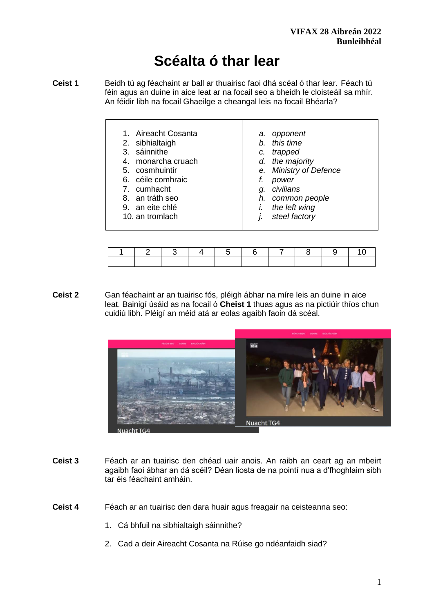# **Scéalta ó thar lear**

- **Ceist 1** Beidh tú ag féachaint ar ball ar thuairisc faoi dhá scéal ó thar lear. Féach tú féin agus an duine in aice leat ar na focail seo a bheidh le cloisteáil sa mhír. An féidir libh na focail Ghaeilge a cheangal leis na focail Bhéarla?
	- 1. Aireacht Cosanta
	- 2. sibhialtaigh
	- 3. sáinnithe
	- 4. monarcha cruach
	- 5. cosmhuintir
	- 6. céile comhraic
	- 7. cumhacht
	- 8. an tráth seo
	- 9. an eite chlé
	- 10. an tromlach
- *a. opponent*
- *b. this time*
- *c. trapped*
- *d. the majority*
- *e. Ministry of Defence*
- *f. power*
- *g. civilians*
- *h. common people*
- *i. the left wing*
- *j. steel factory*

|  | 2   3   4   5   6   7   8   9   10 |  |  |  |  |
|--|------------------------------------|--|--|--|--|
|  |                                    |  |  |  |  |

**Ceist 2** Gan féachaint ar an tuairisc fós, pléigh ábhar na míre leis an duine in aice leat. Bainigí úsáid as na focail ó **Cheist 1** thuas agus as na pictiúir thíos chun cuidiú libh. Pléigí an méid atá ar eolas agaibh faoin dá scéal.



- **Ceist 3** Féach ar an tuairisc den chéad uair anois. An raibh an ceart ag an mbeirt agaibh faoi ábhar an dá scéil? Déan liosta de na pointí nua a d'fhoghlaim sibh tar éis féachaint amháin.
- **Ceist 4** Féach ar an tuairisc den dara huair agus freagair na ceisteanna seo:
	- 1. Cá bhfuil na sibhialtaigh sáinnithe?
	- 2. Cad a deir Aireacht Cosanta na Rúise go ndéanfaidh siad?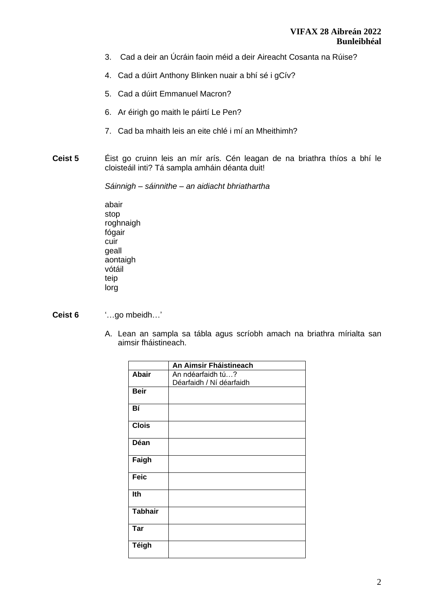- 3. Cad a deir an Úcráin faoin méid a deir Aireacht Cosanta na Rúise?
- 4. Cad a dúirt Anthony Blinken nuair a bhí sé i gCív?
- 5. Cad a dúirt Emmanuel Macron?
- 6. Ar éirigh go maith le páirtí Le Pen?
- 7. Cad ba mhaith leis an eite chlé i mí an Mheithimh?
- **Ceist 5** Éist go cruinn leis an mír arís. Cén leagan de na briathra thíos a bhí le cloisteáil inti? Tá sampla amháin déanta duit!

*Sáinnigh – sáinnithe – an aidiacht bhriathartha* 

abair stop roghnaigh fógair cuir geall aontaigh vótáil teip lorg

**Ceist 6** '…go mbeidh…'

A. Lean an sampla sa tábla agus scríobh amach na briathra mírialta san aimsir fháistineach.

|                | An Aimsir Fháistineach   |
|----------------|--------------------------|
| <b>Abair</b>   | An ndéarfaidh tú?        |
|                | Déarfaidh / Ní déarfaidh |
| <b>Beir</b>    |                          |
| Bí             |                          |
| <b>Clois</b>   |                          |
| Déan           |                          |
| Faigh          |                          |
| <b>Feic</b>    |                          |
| Ith            |                          |
| <b>Tabhair</b> |                          |
| <b>Tar</b>     |                          |
| Téigh          |                          |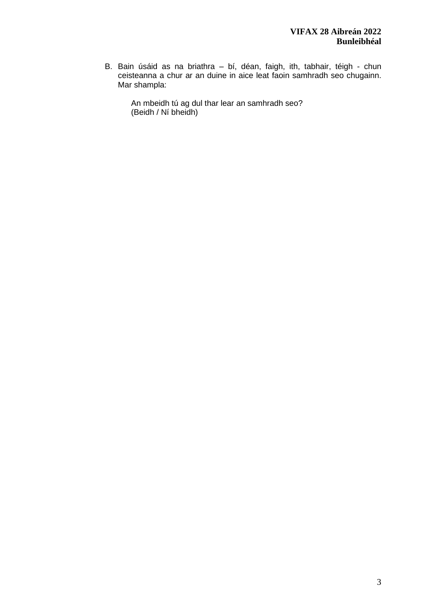B. Bain úsáid as na briathra – bí, déan, faigh, ith, tabhair, téigh - chun ceisteanna a chur ar an duine in aice leat faoin samhradh seo chugainn. Mar shampla:

An mbeidh tú ag dul thar lear an samhradh seo? (Beidh / Ní bheidh)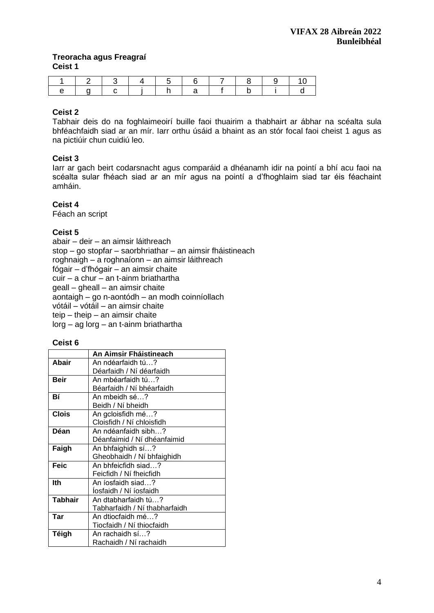# **Treoracha agus Freagraí Ceist 1**

|  |  |  | $\ddot{\phantom{1}}$ |  |  |
|--|--|--|----------------------|--|--|

# **Ceist 2**

Tabhair deis do na foghlaimeoirí buille faoi thuairim a thabhairt ar ábhar na scéalta sula bhféachfaidh siad ar an mír. Iarr orthu úsáid a bhaint as an stór focal faoi cheist 1 agus as na pictiúir chun cuidiú leo.

# **Ceist 3**

Iarr ar gach beirt codarsnacht agus comparáid a dhéanamh idir na pointí a bhí acu faoi na scéalta sular fhéach siad ar an mír agus na pointí a d'fhoghlaim siad tar éis féachaint amháin.

## **Ceist 4**

Féach an script

## **Ceist 5**

abair – deir – an aimsir láithreach stop – go stopfar – saorbhriathar – an aimsir fháistineach roghnaigh – a roghnaíonn – an aimsir láithreach fógair – d'fhógair – an aimsir chaite cuir – a chur – an t-ainm briathartha geall – gheall – an aimsir chaite aontaigh – go n-aontódh – an modh coinníollach vótáil – vótáil – an aimsir chaite teip – theip – an aimsir chaite lorg – ag lorg – an t-ainm briathartha

#### **Ceist 6**

|                | An Aimsir Fháistineach        |  |  |  |
|----------------|-------------------------------|--|--|--|
| <b>Abair</b>   | An ndéarfaidh tú?             |  |  |  |
|                | Déarfaidh / Ní déarfaidh      |  |  |  |
| <b>Beir</b>    | An mbéarfaidh tú?             |  |  |  |
|                | Béarfaidh / Ní bhéarfaidh     |  |  |  |
| Вí             | An mbeidh sé?                 |  |  |  |
|                | Beidh / Ní bheidh             |  |  |  |
| <b>Clois</b>   | An gcloisfidh mé?             |  |  |  |
|                | Cloisfidh / Ní chloisfidh     |  |  |  |
| Déan           | An ndéanfaidh sibh?           |  |  |  |
|                | Déanfaimid / Ní dhéanfaimid   |  |  |  |
| Faigh          | An bhfaighidh sí?             |  |  |  |
|                | Gheobhaidh / Ní bhfaighidh    |  |  |  |
| <b>Feic</b>    | An bhfeicfidh siad?           |  |  |  |
|                | Feicfidh / Ní fheicfidh       |  |  |  |
| lth            | An íosfaidh siad?             |  |  |  |
|                | Iosfaidh / Ní íosfaidh        |  |  |  |
| <b>Tabhair</b> | An dtabharfaidh tú?           |  |  |  |
|                | Tabharfaidh / Ní thabharfaidh |  |  |  |
| Tar            | An dtiocfaidh mé?             |  |  |  |
|                | Tiocfaidh / Ní thiocfaidh     |  |  |  |
| Téigh          | An rachaidh sí?               |  |  |  |
|                | Rachaidh / Ní rachaidh        |  |  |  |